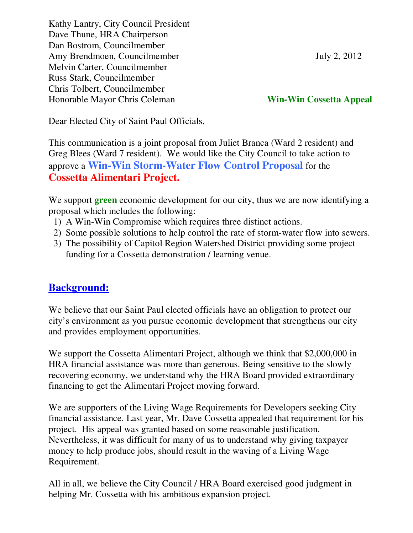Kathy Lantry, City Council President Dave Thune, HRA Chairperson Dan Bostrom, Councilmember Amy Brendmoen, Councilmember July 2, 2012 Melvin Carter, Councilmember Russ Stark, Councilmember Chris Tolbert, Councilmember Honorable Mayor Chris Coleman **Win-Win Cossetta Appeal**

Dear Elected City of Saint Paul Officials,

This communication is a joint proposal from Juliet Branca (Ward 2 resident) and Greg Blees (Ward 7 resident). We would like the City Council to take action to approve a **Win-Win Storm-Water Flow Control Proposal** for the **Cossetta Alimentari Project.** 

We support **green** economic development for our city, thus we are now identifying a proposal which includes the following:

- 1) A Win-Win Compromise which requires three distinct actions.
- 2) Some possible solutions to help control the rate of storm-water flow into sewers.
- 3) The possibility of Capitol Region Watershed District providing some project funding for a Cossetta demonstration / learning venue.

## **Background:**

We believe that our Saint Paul elected officials have an obligation to protect our city's environment as you pursue economic development that strengthens our city and provides employment opportunities.

We support the Cossetta Alimentari Project, although we think that \$2,000,000 in HRA financial assistance was more than generous. Being sensitive to the slowly recovering economy, we understand why the HRA Board provided extraordinary financing to get the Alimentari Project moving forward.

We are supporters of the Living Wage Requirements for Developers seeking City financial assistance. Last year, Mr. Dave Cossetta appealed that requirement for his project. His appeal was granted based on some reasonable justification. Nevertheless, it was difficult for many of us to understand why giving taxpayer money to help produce jobs, should result in the waving of a Living Wage Requirement.

All in all, we believe the City Council / HRA Board exercised good judgment in helping Mr. Cossetta with his ambitious expansion project.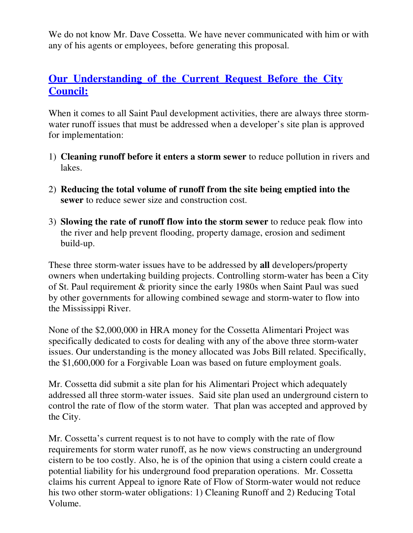We do not know Mr. Dave Cossetta. We have never communicated with him or with any of his agents or employees, before generating this proposal.

### **Our Understanding of the Current Request Before the City Council:**

When it comes to all Saint Paul development activities, there are always three stormwater runoff issues that must be addressed when a developer's site plan is approved for implementation:

- 1) **Cleaning runoff before it enters a storm sewer** to reduce pollution in rivers and lakes.
- 2) **Reducing the total volume of runoff from the site being emptied into the sewer** to reduce sewer size and construction cost.
- 3) **Slowing the rate of runoff flow into the storm sewer** to reduce peak flow into the river and help prevent flooding, property damage, erosion and sediment build-up.

These three storm-water issues have to be addressed by **all** developers/property owners when undertaking building projects. Controlling storm-water has been a City of St. Paul requirement & priority since the early 1980s when Saint Paul was sued by other governments for allowing combined sewage and storm-water to flow into the Mississippi River.

None of the \$2,000,000 in HRA money for the Cossetta Alimentari Project was specifically dedicated to costs for dealing with any of the above three storm-water issues. Our understanding is the money allocated was Jobs Bill related. Specifically, the \$1,600,000 for a Forgivable Loan was based on future employment goals.

Mr. Cossetta did submit a site plan for his Alimentari Project which adequately addressed all three storm-water issues. Said site plan used an underground cistern to control the rate of flow of the storm water. That plan was accepted and approved by the City.

Mr. Cossetta's current request is to not have to comply with the rate of flow requirements for storm water runoff, as he now views constructing an underground cistern to be too costly. Also, he is of the opinion that using a cistern could create a potential liability for his underground food preparation operations. Mr. Cossetta claims his current Appeal to ignore Rate of Flow of Storm-water would not reduce his two other storm-water obligations: 1) Cleaning Runoff and 2) Reducing Total Volume.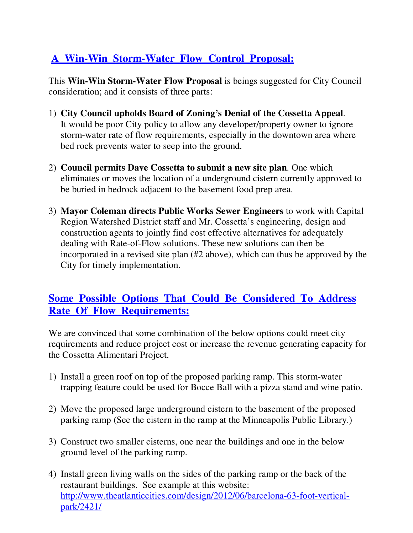# **A Win-Win Storm-Water Flow Control Proposal:**

This **Win-Win Storm-Water Flow Proposal** is beings suggested for City Council consideration; and it consists of three parts:

- 1) **City Council upholds Board of Zoning's Denial of the Cossetta Appeal**. It would be poor City policy to allow any developer/property owner to ignore storm-water rate of flow requirements, especially in the downtown area where bed rock prevents water to seep into the ground.
- 2) **Council permits Dave Cossetta to submit a new site plan**. One which eliminates or moves the location of a underground cistern currently approved to be buried in bedrock adjacent to the basement food prep area.
- 3) **Mayor Coleman directs Public Works Sewer Engineers** to work with Capital Region Watershed District staff and Mr. Cossetta's engineering, design and construction agents to jointly find cost effective alternatives for adequately dealing with Rate-of-Flow solutions. These new solutions can then be incorporated in a revised site plan (#2 above), which can thus be approved by the City for timely implementation.

### **Some Possible Options That Could Be Considered To Address Rate Of Flow Requirements:**

We are convinced that some combination of the below options could meet city requirements and reduce project cost or increase the revenue generating capacity for the Cossetta Alimentari Project.

- 1) Install a green roof on top of the proposed parking ramp. This storm-water trapping feature could be used for Bocce Ball with a pizza stand and wine patio.
- 2) Move the proposed large underground cistern to the basement of the proposed parking ramp (See the cistern in the ramp at the Minneapolis Public Library.)
- 3) Construct two smaller cisterns, one near the buildings and one in the below ground level of the parking ramp.
- 4) Install green living walls on the sides of the parking ramp or the back of the restaurant buildings. See example at this website: http://www.theatlanticcities.com/design/2012/06/barcelona-63-foot-verticalpark/2421/